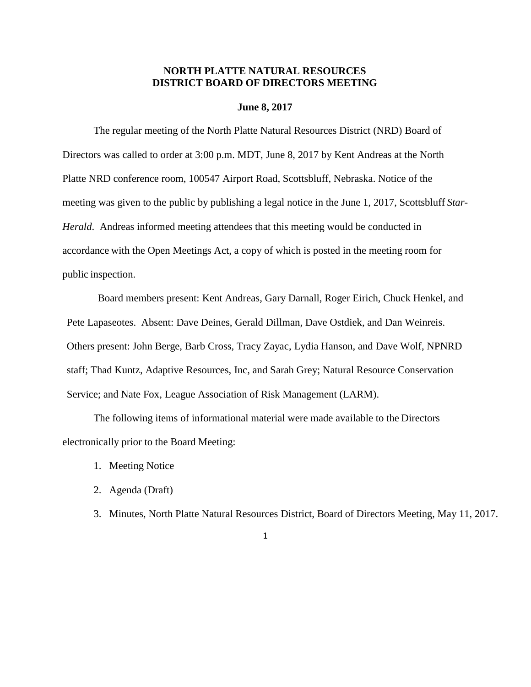## **NORTH PLATTE NATURAL RESOURCES DISTRICT BOARD OF DIRECTORS MEETING**

#### **June 8, 2017**

The regular meeting of the North Platte Natural Resources District (NRD) Board of Directors was called to order at 3:00 p.m. MDT, June 8, 2017 by Kent Andreas at the North Platte NRD conference room, 100547 Airport Road, Scottsbluff, Nebraska. Notice of the meeting was given to the public by publishing a legal notice in the June 1, 2017, Scottsbluff *Star-Herald*. Andreas informed meeting attendees that this meeting would be conducted in accordance with the Open Meetings Act, a copy of which is posted in the meeting room for public inspection.

Board members present: Kent Andreas, Gary Darnall, Roger Eirich, Chuck Henkel, and Pete Lapaseotes. Absent: Dave Deines, Gerald Dillman, Dave Ostdiek, and Dan Weinreis. Others present: John Berge, Barb Cross, Tracy Zayac, Lydia Hanson, and Dave Wolf, NPNRD staff; Thad Kuntz, Adaptive Resources, Inc, and Sarah Grey; Natural Resource Conservation Service; and Nate Fox, League Association of Risk Management (LARM).

The following items of informational material were made available to the Directors electronically prior to the Board Meeting:

- 1. Meeting Notice
- 2. Agenda (Draft)
- 3. Minutes, North Platte Natural Resources District, Board of Directors Meeting, May 11, 2017.
	- 1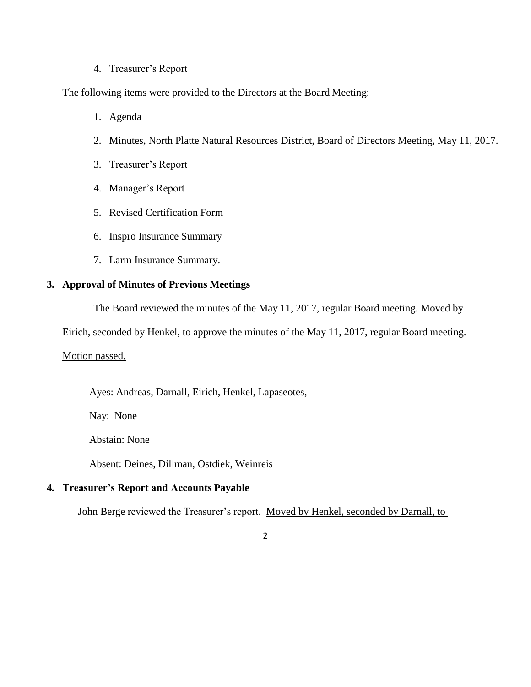### 4. Treasurer's Report

The following items were provided to the Directors at the Board Meeting:

- 1. Agenda
- 2. Minutes, North Platte Natural Resources District, Board of Directors Meeting, May 11, 2017.
- 3. Treasurer's Report
- 4. Manager's Report
- 5. Revised Certification Form
- 6. Inspro Insurance Summary
- 7. Larm Insurance Summary.

## **3. Approval of Minutes of Previous Meetings**

The Board reviewed the minutes of the May 11, 2017, regular Board meeting. Moved by

Eirich, seconded by Henkel, to approve the minutes of the May 11, 2017, regular Board meeting.

## Motion passed.

Ayes: Andreas, Darnall, Eirich, Henkel, Lapaseotes,

Nay: None

Abstain: None

Absent: Deines, Dillman, Ostdiek, Weinreis

# **4. Treasurer's Report and Accounts Payable**

John Berge reviewed the Treasurer's report. Moved by Henkel, seconded by Darnall, to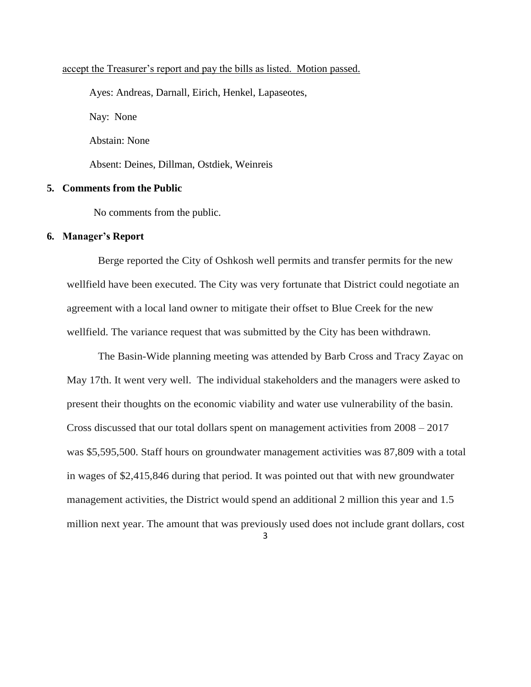### accept the Treasurer's report and pay the bills as listed. Motion passed.

Ayes: Andreas, Darnall, Eirich, Henkel, Lapaseotes, Nay: None Abstain: None Absent: Deines, Dillman, Ostdiek, Weinreis

# **5. Comments from the Public**

No comments from the public.

#### **6. Manager's Report**

Berge reported the City of Oshkosh well permits and transfer permits for the new wellfield have been executed. The City was very fortunate that District could negotiate an agreement with a local land owner to mitigate their offset to Blue Creek for the new wellfield. The variance request that was submitted by the City has been withdrawn.

The Basin-Wide planning meeting was attended by Barb Cross and Tracy Zayac on May 17th. It went very well. The individual stakeholders and the managers were asked to present their thoughts on the economic viability and water use vulnerability of the basin. Cross discussed that our total dollars spent on management activities from 2008 – 2017 was \$5,595,500. Staff hours on groundwater management activities was 87,809 with a total in wages of \$2,415,846 during that period. It was pointed out that with new groundwater management activities, the District would spend an additional 2 million this year and 1.5 million next year. The amount that was previously used does not include grant dollars, cost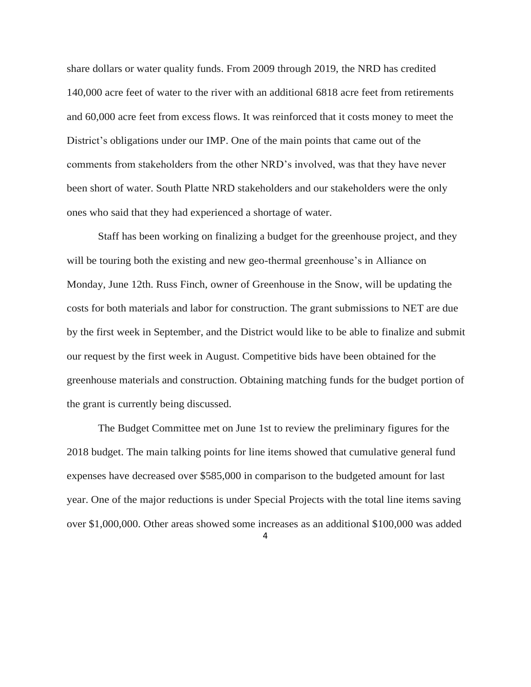share dollars or water quality funds. From 2009 through 2019, the NRD has credited 140,000 acre feet of water to the river with an additional 6818 acre feet from retirements and 60,000 acre feet from excess flows. It was reinforced that it costs money to meet the District's obligations under our IMP. One of the main points that came out of the comments from stakeholders from the other NRD's involved, was that they have never been short of water. South Platte NRD stakeholders and our stakeholders were the only ones who said that they had experienced a shortage of water.

Staff has been working on finalizing a budget for the greenhouse project, and they will be touring both the existing and new geo-thermal greenhouse's in Alliance on Monday, June 12th. Russ Finch, owner of Greenhouse in the Snow, will be updating the costs for both materials and labor for construction. The grant submissions to NET are due by the first week in September, and the District would like to be able to finalize and submit our request by the first week in August. Competitive bids have been obtained for the greenhouse materials and construction. Obtaining matching funds for the budget portion of the grant is currently being discussed.

The Budget Committee met on June 1st to review the preliminary figures for the 2018 budget. The main talking points for line items showed that cumulative general fund expenses have decreased over \$585,000 in comparison to the budgeted amount for last year. One of the major reductions is under Special Projects with the total line items saving over \$1,000,000. Other areas showed some increases as an additional \$100,000 was added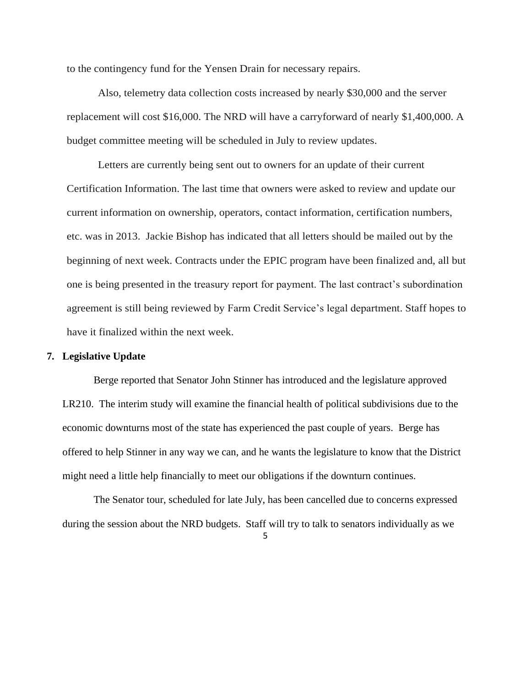to the contingency fund for the Yensen Drain for necessary repairs.

Also, telemetry data collection costs increased by nearly \$30,000 and the server replacement will cost \$16,000. The NRD will have a carryforward of nearly \$1,400,000. A budget committee meeting will be scheduled in July to review updates.

Letters are currently being sent out to owners for an update of their current Certification Information. The last time that owners were asked to review and update our current information on ownership, operators, contact information, certification numbers, etc. was in 2013. Jackie Bishop has indicated that all letters should be mailed out by the beginning of next week. Contracts under the EPIC program have been finalized and, all but one is being presented in the treasury report for payment. The last contract's subordination agreement is still being reviewed by Farm Credit Service's legal department. Staff hopes to have it finalized within the next week.

### **7. Legislative Update**

Berge reported that Senator John Stinner has introduced and the legislature approved LR210. The interim study will examine the financial health of political subdivisions due to the economic downturns most of the state has experienced the past couple of years. Berge has offered to help Stinner in any way we can, and he wants the legislature to know that the District might need a little help financially to meet our obligations if the downturn continues.

The Senator tour, scheduled for late July, has been cancelled due to concerns expressed during the session about the NRD budgets. Staff will try to talk to senators individually as we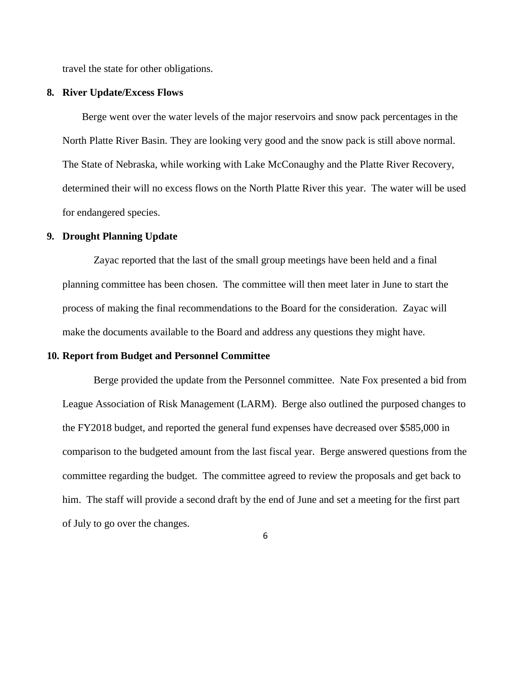travel the state for other obligations.

#### **8. River Update/Excess Flows**

Berge went over the water levels of the major reservoirs and snow pack percentages in the North Platte River Basin. They are looking very good and the snow pack is still above normal. The State of Nebraska, while working with Lake McConaughy and the Platte River Recovery, determined their will no excess flows on the North Platte River this year. The water will be used for endangered species.

#### **9. Drought Planning Update**

Zayac reported that the last of the small group meetings have been held and a final planning committee has been chosen. The committee will then meet later in June to start the process of making the final recommendations to the Board for the consideration. Zayac will make the documents available to the Board and address any questions they might have.

#### **10. Report from Budget and Personnel Committee**

Berge provided the update from the Personnel committee. Nate Fox presented a bid from League Association of Risk Management (LARM). Berge also outlined the purposed changes to the FY2018 budget, and reported the general fund expenses have decreased over \$585,000 in comparison to the budgeted amount from the last fiscal year. Berge answered questions from the committee regarding the budget. The committee agreed to review the proposals and get back to him. The staff will provide a second draft by the end of June and set a meeting for the first part of July to go over the changes.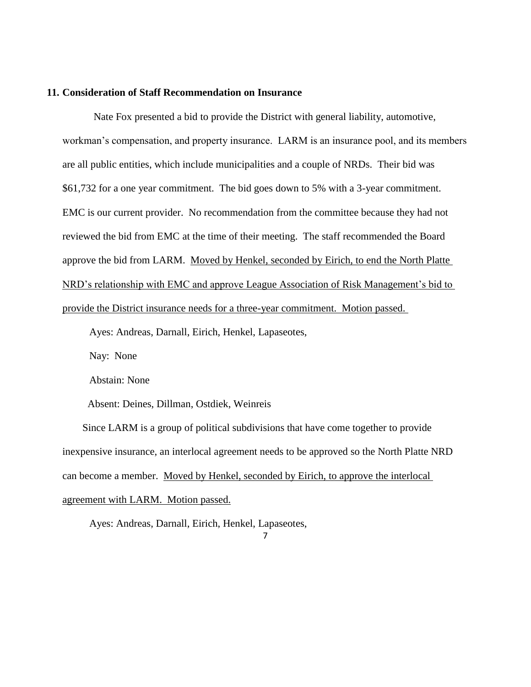#### **11. Consideration of Staff Recommendation on Insurance**

Nate Fox presented a bid to provide the District with general liability, automotive, workman's compensation, and property insurance. LARM is an insurance pool, and its members are all public entities, which include municipalities and a couple of NRDs. Their bid was \$61,732 for a one year commitment. The bid goes down to 5% with a 3-year commitment. EMC is our current provider. No recommendation from the committee because they had not reviewed the bid from EMC at the time of their meeting. The staff recommended the Board approve the bid from LARM. Moved by Henkel, seconded by Eirich, to end the North Platte NRD's relationship with EMC and approve League Association of Risk Management's bid to provide the District insurance needs for a three-year commitment. Motion passed.

Ayes: Andreas, Darnall, Eirich, Henkel, Lapaseotes,

Nay: None

Abstain: None

Absent: Deines, Dillman, Ostdiek, Weinreis

Since LARM is a group of political subdivisions that have come together to provide inexpensive insurance, an interlocal agreement needs to be approved so the North Platte NRD can become a member. Moved by Henkel, seconded by Eirich, to approve the interlocal agreement with LARM. Motion passed.

Ayes: Andreas, Darnall, Eirich, Henkel, Lapaseotes,

<sup>7</sup>